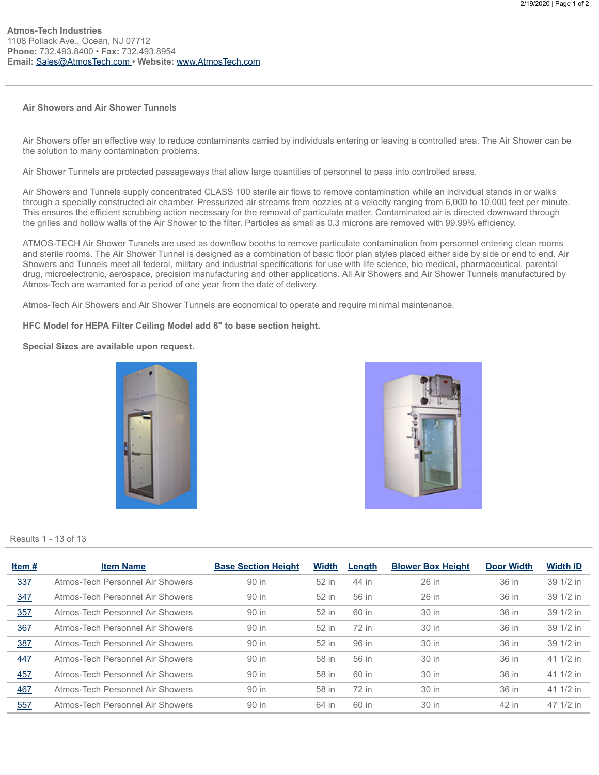## Air Showers and Air Shower Tunnels

Air Showers offer an effective way to reduce contaminants carried by individuals entering or leaving a controlled area. The Air Shower can be the solution to many contamination problems.

Air Shower Tunnels are protected passageways that allow large quantities of personnel to pass into controlled areas.

Air Showers and Tunnels supply concentrated CLASS 100 sterile air flows to remove contamination while an individual stands in or walks through a specially constructed air chamber. Pressurized air streams from nozzles at a velocity ranging from 6,000 to 10,000 feet per minute. This ensures the efficient scrubbing action necessary for the removal of particulate matter. Contaminated air is directed downward through the grilles and hollow walls of the Air Shower to the filter. Particles as small as 0.3 microns are removed with 99.99% efficiency.

ATMOS-TECH Air Shower Tunnels are used as downflow booths to remove particulate contamination from personnel entering clean rooms and sterile rooms. The Air Shower Tunnel is designed as a combination of basic floor plan styles placed either side by side or end to end. Air Showers and Tunnels meet all federal, military and industrial specifications for use with life science, bio medical, pharmaceutical, parental drug, microelectronic, aerospace, precision manufacturing and other applications. All Air Showers and Air Shower Tunnels manufactured by Atmos-Tech are warranted for a period of one year from the date of delivery.

Atmos-Tech Air Showers and Air Shower Tunnels are economical to operate and require minimal maintenance.

HFC Model for HEPA Filter Ceiling Model add 6" to base section height.

Special Sizes are available upon request.





Results 1 - 13 of 13

| Item# | <b>Item Name</b>                 | <b>Base Section Height</b> | <b>Width</b> | Length | <b>Blower Box Height</b> | <b>Door Width</b> | <b>Width ID</b> |
|-------|----------------------------------|----------------------------|--------------|--------|--------------------------|-------------------|-----------------|
| 337   | Atmos-Tech Personnel Air Showers | 90 in                      | 52 in        | 44 in  | 26 in                    | 36 in             | 39 1/2 in       |
| 347   | Atmos-Tech Personnel Air Showers | 90 in                      | 52 in        | 56 in  | 26 in                    | 36 in             | 39 1/2 in       |
| 357   | Atmos-Tech Personnel Air Showers | 90 in                      | 52 in        | 60 in  | 30 in                    | 36 in             | 39 1/2 in       |
| 367   | Atmos-Tech Personnel Air Showers | 90 in                      | 52 in        | 72 in  | 30 in                    | 36 in             | 39 1/2 in       |
| 387   | Atmos-Tech Personnel Air Showers | 90 in                      | 52 in        | 96 in  | 30 in                    | 36 in             | 39 1/2 in       |
| 447   | Atmos-Tech Personnel Air Showers | 90 in                      | 58 in        | 56 in  | 30 in                    | 36 in             | 41 1/2 in       |
| 457   | Atmos-Tech Personnel Air Showers | 90 in                      | 58 in        | 60 in  | 30 in                    | 36 in             | 41 1/2 in       |
| 467   | Atmos-Tech Personnel Air Showers | 90 in                      | 58 in        | 72 in  | 30 in                    | 36 in             | 41 1/2 in       |
| 557   | Atmos-Tech Personnel Air Showers | 90 in                      | 64 in        | 60 in  | 30 in                    | 42 in             | 47 1/2 in       |